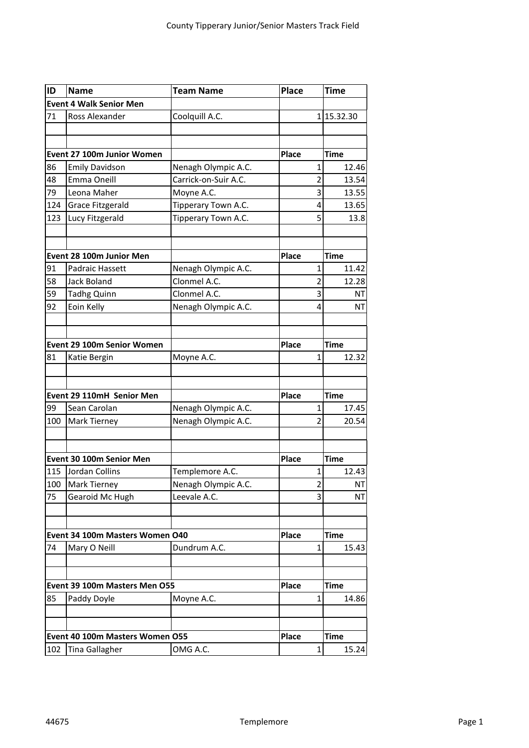| ID                            | <b>Name</b>                     | <b>Team Name</b>     | <b>Place</b> | Time                    |
|-------------------------------|---------------------------------|----------------------|--------------|-------------------------|
|                               | <b>Event 4 Walk Senior Men</b>  |                      |              |                         |
| 71                            | Ross Alexander                  | Coolquill A.C.       |              | 115.32.30               |
|                               |                                 |                      |              |                         |
|                               |                                 |                      |              |                         |
|                               | Event 27 100m Junior Women      |                      | <b>Place</b> | <b>Time</b>             |
| 86                            | <b>Emily Davidson</b>           | Nenagh Olympic A.C.  |              | 1<br>12.46              |
| 48                            | Emma Oneill                     | Carrick-on-Suir A.C. |              | $\overline{2}$<br>13.54 |
| 79                            | Leona Maher                     | Moyne A.C.           |              | 3<br>13.55              |
| 124                           | <b>Grace Fitzgerald</b>         | Tipperary Town A.C.  |              | 4<br>13.65              |
| 123                           | Lucy Fitzgerald                 | Tipperary Town A.C.  |              | 5<br>13.8               |
|                               |                                 |                      |              |                         |
|                               | Event 28 100m Junior Men        |                      | <b>Place</b> | <b>Time</b>             |
| 91                            | Padraic Hassett                 | Nenagh Olympic A.C.  |              | $\overline{1}$<br>11.42 |
| 58                            | Jack Boland                     | Clonmel A.C.         |              | 2<br>12.28              |
| 59                            | <b>Tadhg Quinn</b>              | Clonmel A.C.         |              | 3<br><b>NT</b>          |
| 92                            | Eoin Kelly                      | Nenagh Olympic A.C.  |              | 4<br><b>NT</b>          |
|                               |                                 |                      |              |                         |
|                               |                                 |                      |              |                         |
|                               | Event 29 100m Senior Women      |                      | <b>Place</b> | <b>Time</b>             |
| 81                            | Katie Bergin                    | Moyne A.C.           |              | $\mathbf{1}$<br>12.32   |
|                               |                                 |                      |              |                         |
|                               | Event 29 110mH Senior Men       |                      | Place        | <b>Time</b>             |
| 99                            | Sean Carolan                    | Nenagh Olympic A.C.  |              | $\mathbf 1$<br>17.45    |
| 100                           | <b>Mark Tierney</b>             | Nenagh Olympic A.C.  |              | $\overline{2}$<br>20.54 |
|                               |                                 |                      |              |                         |
|                               | Event 30 100m Senior Men        |                      | <b>Place</b> | <b>Time</b>             |
| 115                           | Jordan Collins                  | Templemore A.C.      |              | 1<br>12.43              |
| 100                           | Mark Tierney                    | Nenagh Olympic A.C.  |              | $\overline{2}$<br>NT    |
| 75                            | Gearoid Mc Hugh                 | Leevale A.C.         |              | 3<br>NΤ                 |
|                               |                                 |                      |              |                         |
|                               | Event 34 100m Masters Women O40 |                      | <b>Place</b> | Time                    |
| 74                            | Mary O Neill                    | Dundrum A.C.         |              | 1<br>15.43              |
|                               |                                 |                      |              |                         |
| Event 39 100m Masters Men O55 |                                 |                      |              | Time                    |
| 85                            | Paddy Doyle                     | Moyne A.C.           | Place        | 1<br>14.86              |
|                               |                                 |                      |              |                         |
|                               |                                 |                      |              | <b>Time</b>             |
|                               | Event 40 100m Masters Women O55 |                      | Place        |                         |
| 102                           | <b>Tina Gallagher</b>           | OMG A.C.             |              | 1<br>15.24              |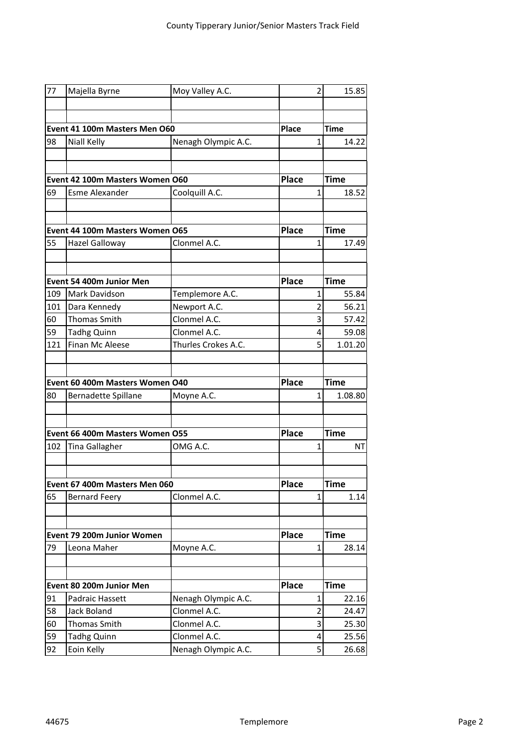| 77                              | Majella Byrne                       | Moy Valley A.C.              |              | 15.85<br>2                            |
|---------------------------------|-------------------------------------|------------------------------|--------------|---------------------------------------|
|                                 |                                     |                              |              |                                       |
|                                 |                                     |                              |              |                                       |
| Event 41 100m Masters Men O60   |                                     |                              | Place        | <b>Time</b>                           |
| 98                              | Niall Kelly                         | Nenagh Olympic A.C.          |              | $\mathbf{1}$<br>14.22                 |
|                                 |                                     |                              |              |                                       |
|                                 | Event 42 100m Masters Women O60     | <b>Place</b>                 | Time         |                                       |
| 69                              | <b>Esme Alexander</b>               | Coolquill A.C.               |              | 1<br>18.52                            |
|                                 |                                     |                              |              |                                       |
|                                 |                                     |                              |              |                                       |
| Event 44 100m Masters Women O65 |                                     |                              | <b>Place</b> | Time                                  |
| 55                              | Hazel Galloway                      | Clonmel A.C.                 |              | $\mathbf{1}$<br>17.49                 |
|                                 |                                     |                              |              |                                       |
|                                 | Event 54 400m Junior Men            |                              | <b>Place</b> | <b>Time</b>                           |
| 109<br>101                      | Mark Davidson                       | Templemore A.C.              |              | 55.84<br>1<br>$\overline{2}$<br>56.21 |
| 60                              | Dara Kennedy<br><b>Thomas Smith</b> | Newport A.C.<br>Clonmel A.C. |              | 3<br>57.42                            |
| 59                              | <b>Tadhg Quinn</b>                  | Clonmel A.C.                 |              | 4<br>59.08                            |
| 121                             | Finan Mc Aleese                     | Thurles Crokes A.C.          |              | 5<br>1.01.20                          |
|                                 |                                     |                              |              |                                       |
|                                 | Event 60 400m Masters Women O40     |                              | <b>Place</b> | <b>Time</b>                           |
| 80                              | Bernadette Spillane                 | Moyne A.C.                   |              | 1<br>1.08.80                          |
|                                 |                                     |                              |              |                                       |
| Event 66 400m Masters Women O55 |                                     |                              | <b>Place</b> | <b>Time</b>                           |
| 102                             | Tina Gallagher                      | OMG A.C.                     |              | $\mathbf{1}$<br>NT                    |
|                                 |                                     |                              |              |                                       |
| Event 67 400m Masters Men 060   |                                     |                              | Place        | <b>Time</b>                           |
| 65                              | <b>Bernard Feery</b>                | Clonmel A.C.                 |              | $\mathbf{1}$<br>1.14                  |
|                                 |                                     |                              |              |                                       |
|                                 | Event 79 200m Junior Women          |                              | <b>Place</b> | <b>Time</b>                           |
| 79                              | Leona Maher                         | Moyne A.C.                   |              | $\mathbf{1}$<br>28.14                 |
|                                 |                                     |                              |              |                                       |
|                                 | Event 80 200m Junior Men            |                              | <b>Place</b> | Time                                  |
| 91                              | Padraic Hassett                     | Nenagh Olympic A.C.          |              | 1<br>22.16                            |
| 58                              | <b>Jack Boland</b>                  | Clonmel A.C.                 |              | $\overline{2}$<br>24.47               |
| 60                              | Thomas Smith                        | Clonmel A.C.                 |              | 3<br>25.30                            |
| 59                              | <b>Tadhg Quinn</b>                  | Clonmel A.C.                 |              | 4<br>25.56                            |
| 92                              | Eoin Kelly                          | Nenagh Olympic A.C.          |              | 5<br>26.68                            |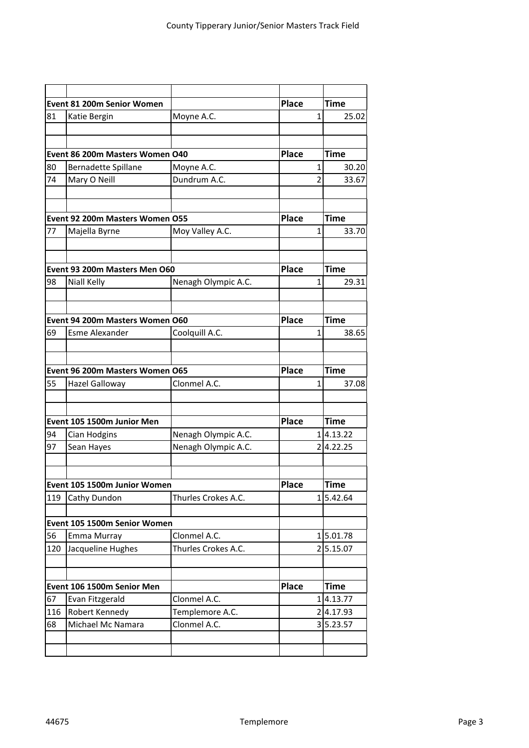| Event 81 200m Senior Women |                                 |                     | <b>Place</b> | <b>Time</b>               |
|----------------------------|---------------------------------|---------------------|--------------|---------------------------|
| 81                         | Katie Bergin                    | Moyne A.C.          |              | 1<br>25.02                |
|                            |                                 |                     |              |                           |
|                            |                                 |                     |              |                           |
|                            | Event 86 200m Masters Women O40 |                     | <b>Place</b> | <b>Time</b>               |
| 80                         | Bernadette Spillane             | Moyne A.C.          |              | 1<br>30.20                |
| 74                         | Mary O Neill                    | Dundrum A.C.        |              | $\overline{2}$<br>33.67   |
|                            |                                 |                     |              |                           |
|                            |                                 |                     |              |                           |
|                            | Event 92 200m Masters Women O55 |                     | <b>Place</b> | Time                      |
| 77                         | Majella Byrne                   | Moy Valley A.C.     |              | 33.70<br>1                |
|                            |                                 |                     |              |                           |
|                            | Event 93 200m Masters Men O60   |                     | <b>Place</b> | <b>Time</b>               |
| 98                         | Niall Kelly                     | Nenagh Olympic A.C. |              | 1<br>29.31                |
|                            | Event 94 200m Masters Women O60 |                     | <b>Place</b> | <b>Time</b>               |
| 69                         | <b>Esme Alexander</b>           | Coolquill A.C.      |              | 38.65<br>$\mathbf{1}$     |
|                            |                                 |                     |              |                           |
|                            | Event 96 200m Masters Women O65 | <b>Place</b>        | Time         |                           |
| 55                         | Hazel Galloway                  | Clonmel A.C.        |              | $\mathbf{1}$<br>37.08     |
|                            |                                 |                     |              |                           |
|                            | Event 105 1500m Junior Men      |                     | <b>Place</b> | Time                      |
| 94                         | Cian Hodgins                    | Nenagh Olympic A.C. |              | 14.13.22                  |
| 97                         | Sean Hayes                      | Nenagh Olympic A.C. |              | 24.22.25                  |
|                            |                                 |                     |              |                           |
|                            | Event 105 1500m Junior Women    | Place               | Time         |                           |
| 119                        | Cathy Dundon                    | Thurles Crokes A.C. |              | 5.42.64<br>1 <sup>1</sup> |
|                            |                                 |                     |              |                           |
|                            | Event 105 1500m Senior Women    |                     |              |                           |
| 56                         | Emma Murray                     | Clonmel A.C.        |              | 15.01.78                  |
| 120                        | Jacqueline Hughes               | Thurles Crokes A.C. |              | 25.15.07                  |
|                            |                                 |                     |              |                           |
|                            | Event 106 1500m Senior Men      |                     | <b>Place</b> | Time                      |
| 67                         | Evan Fitzgerald                 | Clonmel A.C.        |              | 14.13.77                  |
| 116                        | Robert Kennedy                  | Templemore A.C.     |              | 24.17.93                  |
| 68                         | Michael Mc Namara               | Clonmel A.C.        |              | 35.23.57                  |
|                            |                                 |                     |              |                           |
|                            |                                 |                     |              |                           |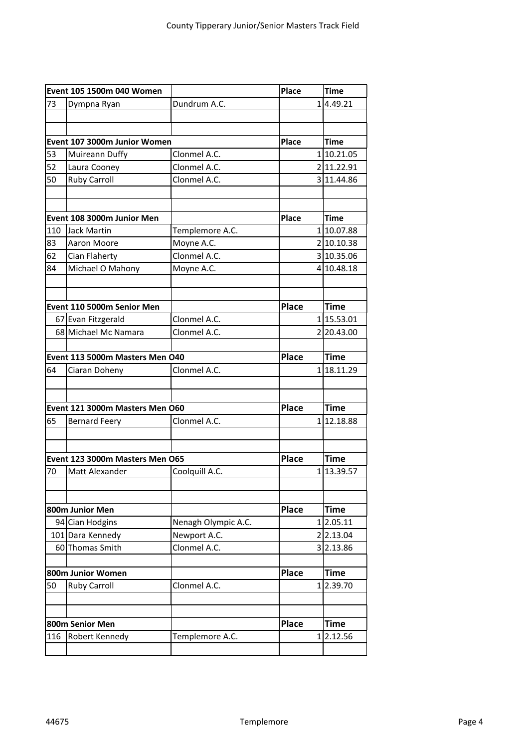| Event 105 1500m 040 Women       |                                 |                     | <b>Place</b> |          | <b>Time</b> |
|---------------------------------|---------------------------------|---------------------|--------------|----------|-------------|
| 73                              | Dympna Ryan                     | Dundrum A.C.        |              |          | 14.49.21    |
|                                 |                                 |                     |              |          |             |
|                                 |                                 |                     |              |          |             |
| Event 107 3000m Junior Women    |                                 |                     | <b>Place</b> |          | <b>Time</b> |
| 53                              | Muireann Duffy                  | Clonmel A.C.        |              |          | 110.21.05   |
| 52                              | Laura Cooney                    | Clonmel A.C.        |              |          | 2 11.22.91  |
| 50                              | <b>Ruby Carroll</b>             | Clonmel A.C.        |              |          | 3 11.44.86  |
|                                 |                                 |                     |              |          |             |
|                                 |                                 |                     |              |          |             |
|                                 | Event 108 3000m Junior Men      |                     | Place        |          | <b>Time</b> |
| 110                             | <b>Jack Martin</b>              | Templemore A.C.     |              |          | 110.07.88   |
| 83                              | Aaron Moore                     | Moyne A.C.          |              |          | 2 10.10.38  |
| 62                              | Cian Flaherty                   | Clonmel A.C.        |              |          | 3 10.35.06  |
| 84                              | Michael O Mahony                | Moyne A.C.          |              |          | 4 10.48.18  |
|                                 |                                 |                     |              |          |             |
|                                 |                                 |                     |              |          |             |
|                                 | Event 110 5000m Senior Men      |                     | <b>Place</b> |          | <b>Time</b> |
|                                 | 67 Evan Fitzgerald              | Clonmel A.C.        |              |          | 115.53.01   |
|                                 | 68 Michael Mc Namara            | Clonmel A.C.        |              |          | 2 20.43.00  |
|                                 |                                 |                     |              |          |             |
|                                 | Event 113 5000m Masters Men O40 |                     | <b>Place</b> |          | <b>Time</b> |
| 64                              | Ciaran Doheny                   | Clonmel A.C.        |              |          | 118.11.29   |
|                                 |                                 |                     |              |          |             |
|                                 |                                 |                     |              |          |             |
|                                 | Event 121 3000m Masters Men O60 |                     | <b>Place</b> |          | <b>Time</b> |
| 65                              | <b>Bernard Feery</b>            | Clonmel A.C.        |              |          | 112.18.88   |
|                                 |                                 |                     |              |          |             |
|                                 |                                 |                     |              |          |             |
| Event 123 3000m Masters Men O65 |                                 |                     | <b>Place</b> |          | <b>Time</b> |
| 70                              | Matt Alexander                  | Coolquill A.C.      |              |          | 113.39.57   |
|                                 |                                 |                     |              |          |             |
|                                 |                                 |                     |              |          |             |
|                                 | 800m Junior Men                 |                     | <b>Place</b> |          | <b>Time</b> |
|                                 | 94 Cian Hodgins                 | Nenagh Olympic A.C. |              |          | 12.05.11    |
|                                 | 101 Dara Kennedy                | Newport A.C.        |              |          | 2 2.13.04   |
|                                 | 60 Thomas Smith                 | Clonmel A.C.        |              |          | 3 2.13.86   |
|                                 |                                 |                     |              |          |             |
| 800m Junior Women               |                                 |                     | <b>Place</b> |          | Time        |
| 50                              | <b>Ruby Carroll</b>             | Clonmel A.C.        |              |          | 12.39.70    |
|                                 |                                 |                     |              |          |             |
|                                 |                                 |                     |              |          |             |
| 800m Senior Men                 |                                 |                     | <b>Place</b> |          | <b>Time</b> |
| 116                             | Robert Kennedy                  | Templemore A.C.     |              | $1\vert$ | 2.12.56     |
|                                 |                                 |                     |              |          |             |